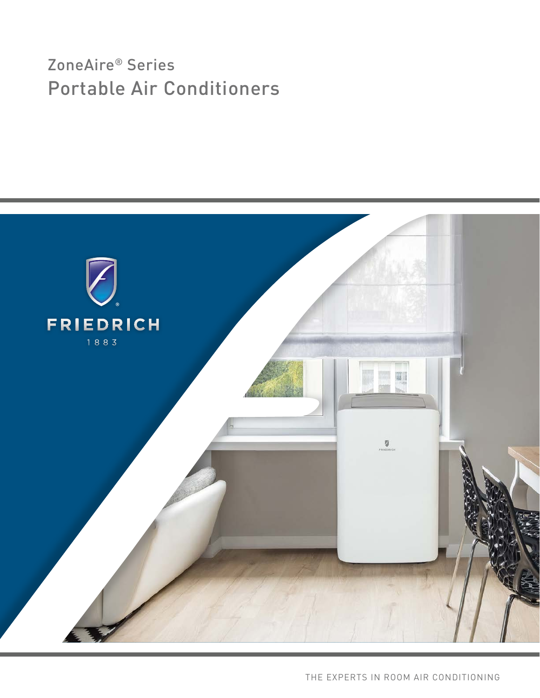# ZoneAire® Series Portable Air Conditioners

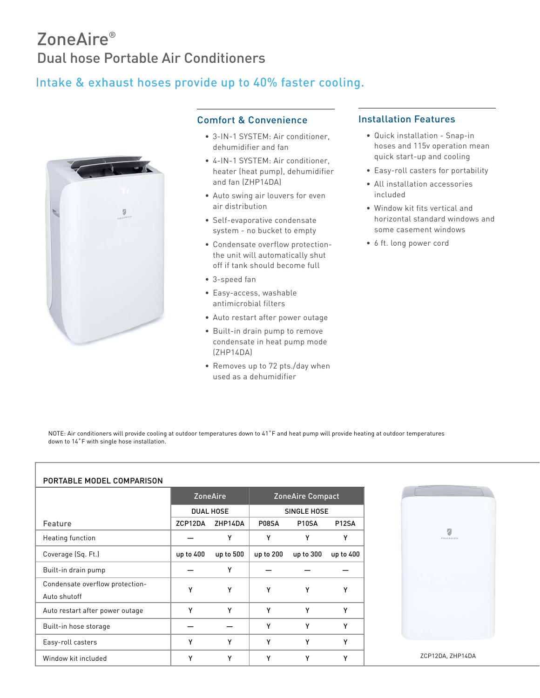## ZoneAire® Dual hose Portable Air Conditioners

### Intake & exhaust hoses provide up to 40% faster cooling.



#### Comfort & Convenience

- 3-IN-1 SYSTEM: Air conditioner, dehumidifier and fan
- 4-IN-1 SYSTEM: Air conditioner, heater (heat pump), dehumidifier and fan (ZHP14DA)
- Auto swing air louvers for even air distribution
- Self-evaporative condensate system - no bucket to empty
- Condensate overflow protectionthe unit will automatically shut off if tank should become full
- 3-speed fan
- Easy-access, washable antimicrobial filters
- Auto restart after power outage
- Built-in drain pump to remove condensate in heat pump mode (ZHP14DA)
- Removes up to 72 pts./day when used as a dehumidifier

#### Installation Features

- Quick installation Snap-in hoses and 115v operation mean quick start-up and cooling
- Easy-roll casters for portability
- All installation accessories included
- Window kit fits vertical and horizontal standard windows and some casement windows
- 6 ft. long power cord

NOTE: Air conditioners will provide cooling at outdoor temperatures down to 41°F and heat pump will provide heating at outdoor temperatures down to 14°F with single hose installation.

#### PORTABLE MODEL COMPARISON

|                                                 | <b>ZoneAire</b><br><b>DUAL HOSE</b> |           | <b>ZoneAire Compact</b><br>SINGLE HOSE |                    |                    |
|-------------------------------------------------|-------------------------------------|-----------|----------------------------------------|--------------------|--------------------|
|                                                 |                                     |           |                                        |                    |                    |
| Feature                                         | ZCP12DA                             | ZHP14DA   | P08SA                                  | P <sub>10</sub> SA | P <sub>12</sub> SA |
| Heating function                                |                                     | Υ         | Υ                                      | Υ                  | Υ                  |
| Coverage (Sq. Ft.)                              | up to 400                           | up to 500 | up to 200                              | up to 300          | up to 400          |
| Built-in drain pump                             |                                     | Υ         |                                        |                    |                    |
| Condensate overflow protection-<br>Auto shutoff | Υ                                   | Y         | Y                                      | Υ                  | Y                  |
| Auto restart after power outage                 | Υ                                   | Υ         | Y                                      | Υ                  | Υ                  |
| Built-in hose storage                           |                                     |           | Y                                      | Υ                  | Y                  |
| Easy-roll casters                               | Υ                                   | Y         | Y                                      | Υ                  | v                  |
| Window kit included                             | γ                                   | Υ         | Y                                      | Υ                  | Y                  |

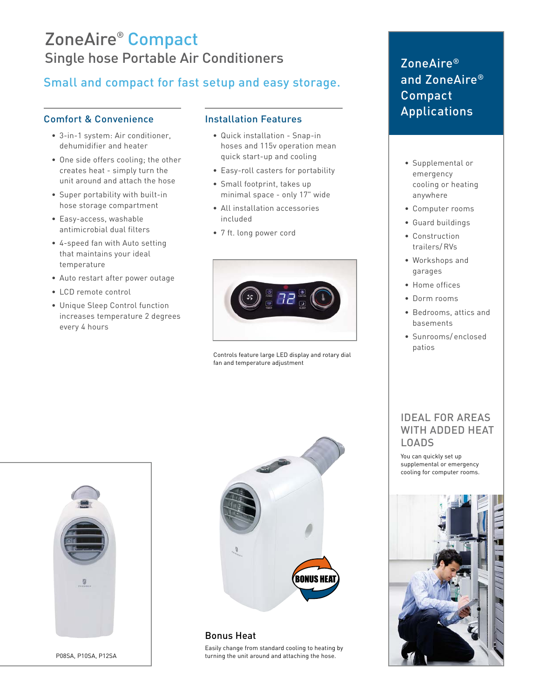## ZoneAire® Compact Single hose Portable Air Conditioners

### Small and compact for fast setup and easy storage.

#### Comfort & Convenience

- 3-in-1 system: Air conditioner, dehumidifier and heater
- One side offers cooling; the other creates heat - simply turn the unit around and attach the hose
- Super portability with built-in hose storage compartment
- Easy-access, washable antimicrobial dual filters
- 4-speed fan with Auto setting that maintains your ideal temperature
- Auto restart after power outage
- LCD remote control
- Unique Sleep Control function increases temperature 2 degrees every 4 hours

#### Installation Features

- Quick installation Snap-in hoses and 115v operation mean quick start-up and cooling
- Easy-roll casters for portability
- Small footprint, takes up minimal space - only 17" wide
- All installation accessories included
- 7 ft. long power cord



Controls feature large LED display and rotary dial fan and temperature adjustment

### ZoneAire® and ZoneAire® Compact Applications

- Supplemental or emergency cooling or heating anywhere
- Computer rooms
- Guard buildings
- Construction trailers/ RVs
- Workshops and garages
- Home offices
- Dorm rooms
- Bedrooms, attics and basements
- Sunrooms/ enclosed patios

#### IDEAL FOR AREAS WITH ADDED HEAT LOADS

You can quickly set up supplemental or emergency cooling for computer rooms.





P08SA, P10SA, P12SA



Bonus Heat Easily change from standard cooling to heating by turning the unit around and attaching the hose.